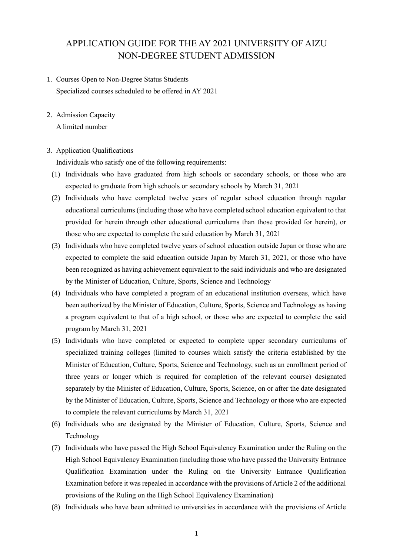# APPLICATION GUIDE FOR THE AY 2021 UNIVERSITY OF AIZU NON-DEGREE STUDENT ADMISSION

- 1. Courses Open to Non-Degree Status Students Specialized courses scheduled to be offered in AY 2021
- 2. Admission Capacity

A limited number

## 3. Application Qualifications

Individuals who satisfy one of the following requirements:

- (1) Individuals who have graduated from high schools or secondary schools, or those who are expected to graduate from high schools or secondary schools by March 31, 2021
- (2) Individuals who have completed twelve years of regular school education through regular educational curriculums (including those who have completed school education equivalent to that provided for herein through other educational curriculums than those provided for herein), or those who are expected to complete the said education by March 31, 2021
- (3) Individuals who have completed twelve years of school education outside Japan or those who are expected to complete the said education outside Japan by March 31, 2021, or those who have been recognized as having achievement equivalent to the said individuals and who are designated by the Minister of Education, Culture, Sports, Science and Technology
- (4) Individuals who have completed a program of an educational institution overseas, which have been authorized by the Minister of Education, Culture, Sports, Science and Technology as having a program equivalent to that of a high school, or those who are expected to complete the said program by March 31, 2021
- (5) Individuals who have completed or expected to complete upper secondary curriculums of specialized training colleges (limited to courses which satisfy the criteria established by the Minister of Education, Culture, Sports, Science and Technology, such as an enrollment period of three years or longer which is required for completion of the relevant course) designated separately by the Minister of Education, Culture, Sports, Science, on or after the date designated by the Minister of Education, Culture, Sports, Science and Technology or those who are expected to complete the relevant curriculums by March 31, 2021
- (6) Individuals who are designated by the Minister of Education, Culture, Sports, Science and Technology
- (7) Individuals who have passed the High School Equivalency Examination under the Ruling on the High School Equivalency Examination (including those who have passed the University Entrance Qualification Examination under the Ruling on the University Entrance Qualification Examination before it was repealed in accordance with the provisions of Article 2 of the additional provisions of the Ruling on the High School Equivalency Examination)
- (8) Individuals who have been admitted to universities in accordance with the provisions of Article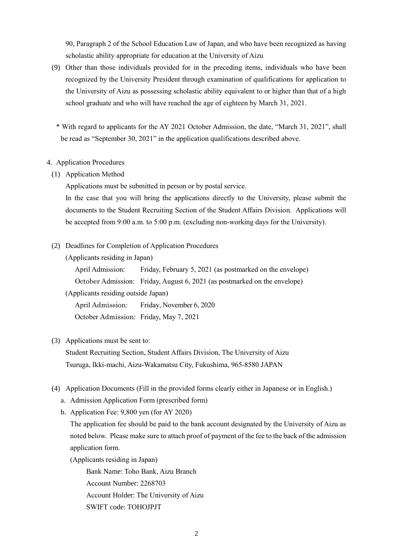90, Paragraph 2 of the School Education Law of Japan, and who have been recognized as having scholastic ability appropriate for education at the University of Aizu

- (9) Other than those individuals provided for in the preceding items, individuals who have been recognized by the University President through examination of qualifications for application to the University of Aizu as possessing scholastic ability equivalent to or higher than that of a high school graduate and who will have reached the age of eighteen by March 31, 2021.
	- \* With regard to applicants for the AY 2021 October Admission, the date, "March 31, 2021", shall be read as "September 30, 2021" in the application qualifications described above.

#### 4. Application Procedures

(1) Application Method

Applications must be submitted in person or by postal service.

In the case that you will bring the applications directly to the University, please submit the documents to the Student Recruiting Section of the Student Affairs Division. Applications will be accepted from 9:00 a.m. to 5:00 p.m. (excluding non-working days for the University).

(2) Deadlines for Completion of Application Procedures

(Applicants residing in Japan)

April Admission: Friday, February 5, 2021 (as postmarked on the envelope) October Admission: Friday, August 6, 2021 (as postmarked on the envelope) (Applicants residing outside Japan)

April Admission: Friday, November 6, 2020 October Admission: Friday, May 7, 2021

#### (3) Applications must be sent to:

Student Recruiting Section, Student Affairs Division, The University of Aizu Tsuruga, Ikki-machi, Aizu-Wakamatsu City, Fukushima, 965-8580 JAPAN

- (4) Application Documents (Fill in the provided forms clearly either in Japanese or in English.)
	- a. Admission Application Form (prescribed form)
	- b. Application Fee: 9,800 yen (for AY 2020)

The application fee should be paid to the bank account designated by the University of Aizu as noted below. Please make sure to attach proof of payment of the fee to the back of the admission application form.

(Applicants residing in Japan)

Bank Name: Toho Bank, Aizu Branch

Account Number: 2268703

Account Holder: The University of Aizu

SWIFT code: TOHOJPJT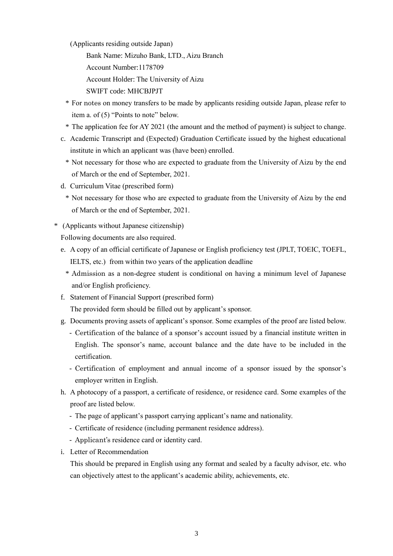(Applicants residing outside Japan)

Bank Name: Mizuho Bank, LTD., Aizu Branch

Account Number:1178709

Account Holder: The University of Aizu

SWIFT code: MHCBJPJT

- \* For notes on money transfers to be made by applicants residing outside Japan, please refer to item a. of (5) "Points to note" below.
- \* The application fee for AY 2021 (the amount and the method of payment) is subject to change.
- c. Academic Transcript and (Expected) Graduation Certificate issued by the highest educational institute in which an applicant was (have been) enrolled.
	- \* Not necessary for those who are expected to graduate from the University of Aizu by the end of March or the end of September, 2021.
- d. Curriculum Vitae (prescribed form)
	- \* Not necessary for those who are expected to graduate from the University of Aizu by the end of March or the end of September, 2021.
- \* (Applicants without Japanese citizenship)

Following documents are also required.

- e. A copy of an official certificate of Japanese or English proficiency test (JPLT, TOEIC, TOEFL, IELTS, etc.) from within two years of the application deadline
	- \* Admission as a non-degree student is conditional on having a minimum level of Japanese and/or English proficiency.
- f. Statement of Financial Support (prescribed form)

The provided form should be filled out by applicant's sponsor.

- g. Documents proving assets of applicant's sponsor. Some examples of the proof are listed below.
	- Certification of the balance of a sponsor's account issued by a financial institute written in English. The sponsor's name, account balance and the date have to be included in the certification.
	- Certification of employment and annual income of a sponsor issued by the sponsor's employer written in English.
- h. A photocopy of a passport, a certificate of residence, or residence card. Some examples of the proof are listed below.
	- The page of applicant's passport carrying applicant's name and nationality.
	- Certificate of residence (including permanent residence address).
	- Applicant's residence card or identity card.
- i. Letter of Recommendation

This should be prepared in English using any format and sealed by a faculty advisor, etc. who can objectively attest to the applicant's academic ability, achievements, etc.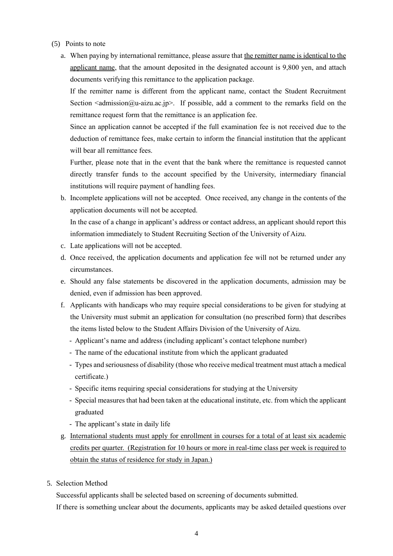- (5) Points to note
	- a. When paying by international remittance, please assure that the remitter name is identical to the applicant name, that the amount deposited in the designated account is 9,800 yen, and attach documents verifying this remittance to the application package.

If the remitter name is different from the applicant name, contact the Student Recruitment Section  $\leq$  admission  $\omega$ -aizu.ac.jp>. If possible, add a comment to the remarks field on the remittance request form that the remittance is an application fee.

Since an application cannot be accepted if the full examination fee is not received due to the deduction of remittance fees, make certain to inform the financial institution that the applicant will bear all remittance fees.

Further, please note that in the event that the bank where the remittance is requested cannot directly transfer funds to the account specified by the University, intermediary financial institutions will require payment of handling fees.

b. Incomplete applications will not be accepted. Once received, any change in the contents of the application documents will not be accepted.

In the case of a change in applicant's address or contact address, an applicant should report this information immediately to Student Recruiting Section of the University of Aizu.

- c. Late applications will not be accepted.
- d. Once received, the application documents and application fee will not be returned under any circumstances.
- e. Should any false statements be discovered in the application documents, admission may be denied, even if admission has been approved.
- f. Applicants with handicaps who may require special considerations to be given for studying at the University must submit an application for consultation (no prescribed form) that describes the items listed below to the Student Affairs Division of the University of Aizu.
	- Applicant's name and address (including applicant's contact telephone number)
	- The name of the educational institute from which the applicant graduated
	- Types and seriousness of disability (those who receive medical treatment must attach a medical certificate.)
	- Specific items requiring special considerations for studying at the University
	- Special measures that had been taken at the educational institute, etc. from which the applicant graduated
	- The applicant's state in daily life
- g. International students must apply for enrollment in courses for a total of at least six academic credits per quarter. (Registration for 10 hours or more in real-time class per week is required to obtain the status of residence for study in Japan.)
- 5. Selection Method

Successful applicants shall be selected based on screening of documents submitted.

If there is something unclear about the documents, applicants may be asked detailed questions over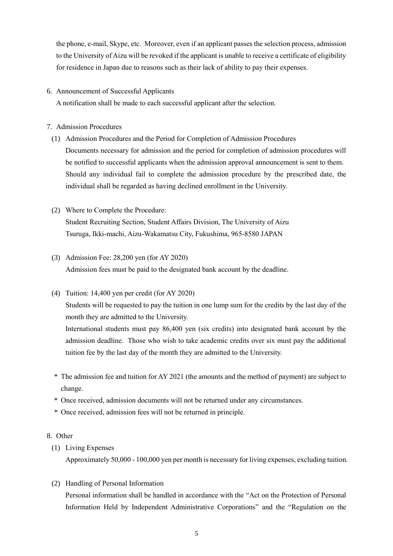the phone, e-mail, Skype, etc. Moreover, even if an applicant passes the selection process, admission to the University of Aizu will be revoked if the applicant is unable to receive a certificate of eligibility for residence in Japan due to reasons such as their lack of ability to pay their expenses.

## 6. Announcement of Successful Applicants

A notification shall be made to each successful applicant after the selection.

## 7. Admission Procedures

- (1) Admission Procedures and the Period for Completion of Admission Procedures Documents necessary for admission and the period for completion of admission procedures will be notified to successful applicants when the admission approval announcement is sent to them. Should any individual fail to complete the admission procedure by the prescribed date, the individual shall be regarded as having declined enrollment in the University.
- (2) Where to Complete the Procedure: Student Recruiting Section, Student Affairs Division, The University of Aizu Tsuruga, Ikki-machi, Aizu-Wakamatsu City, Fukushima, 965-8580 JAPAN
- (3) Admission Fee: 28,200 yen (for AY 2020) Admission fees must be paid to the designated bank account by the deadline.
- (4) Tuition: 14,400 yen per credit (for AY 2020)

Students will be requested to pay the tuition in one lump sum for the credits by the last day of the month they are admitted to the University.

International students must pay 86,400 yen (six credits) into designated bank account by the admission deadline. Those who wish to take academic credits over six must pay the additional tuition fee by the last day of the month they are admitted to the University.

- \* The admission fee and tuition for AY 2021 (the amounts and the method of payment) are subject to change.
- \* Once received, admission documents will not be returned under any circumstances.
- \* Once received, admission fees will not be returned in principle.

### 8. Other

(1) Living Expenses

Approximately 50,000 - 100,000 yen per month is necessary for living expenses, excluding tuition.

(2) Handling of Personal Information

Personal information shall be handled in accordance with the "Act on the Protection of Personal Information Held by Independent Administrative Corporations" and the "Regulation on the